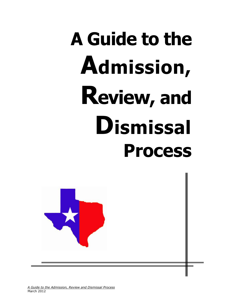# **A Guide to the Admission, Review, and Dismissal Process**



*A Guide to the Admission, Review and Dismissal Process* March 2012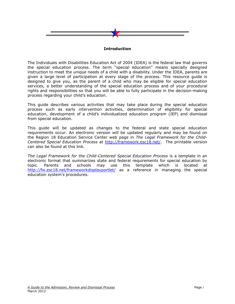

# **Introduction**

<span id="page-1-0"></span>The Individuals with Disabilities Education Act of 2004 (IDEA) is the federal law that governs the special education process. The term "special education" means specially designed instruction to meet the unique needs of a child with a disability. Under the IDEA, parents are given a large level of participation at every stage of the process. This resource guide is designed to give you, as the parent of a child who may be eligible for special education services, a better understanding of the special education process and of your procedural rights and responsibilities so that you will be able to fully participate in the decision-making process regarding your child's education.

This guide describes various activities that may take place during the special education process such as early intervention activities, determination of eligibility for special education, development of a child's individualized education program (IEP) and dismissal from special education.

This guide will be updated as changes to the federal and state special education requirements occur. An electronic version will be updated regularly and may be found on the Region 18 Education Service Center web page in *The Legal Framework for the Child-Centered Special Education Process* at [http://framework.esc18.net/.](http://framework.esc18.net/) The printable version can also be found at this link.

*The Legal Framework for the Child-Centered Special Education Process* is a template in an electronic format that summarizes state and federal requirements for special education by topic. Parents and schools may use this template which is located at <http://fw.esc18.net/frameworkdisplayportlet/> as a reference in managing the special education system's procedures.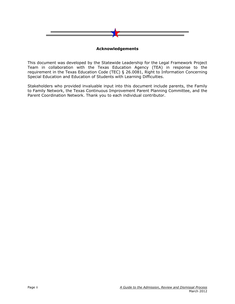

# **Acknowledgements**

<span id="page-2-0"></span>This document was developed by the Statewide Leadership for the Legal Framework Project Team in collaboration with the Texas Education Agency (TEA) in response to the requirement in the Texas Education Code (TEC) § 26.0081, Right to Information Concerning Special Education and Education of Students with Learning Difficulties.

Stakeholders who provided invaluable input into this document include parents, the Family to Family Network, the Texas Continuous Improvement Parent Planning Committee, and the Parent Coordination Network. Thank you to each individual contributor.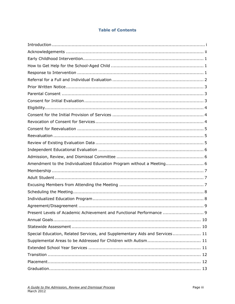# **Table of Contents**

| Amendment to the Individualized Education Program without a Meeting 6       |
|-----------------------------------------------------------------------------|
|                                                                             |
|                                                                             |
|                                                                             |
|                                                                             |
|                                                                             |
|                                                                             |
| Present Levels of Academic Achievement and Functional Performance  9        |
|                                                                             |
|                                                                             |
| Special Education, Related Services, and Supplementary Aids and Services 11 |
|                                                                             |
|                                                                             |
|                                                                             |
|                                                                             |
|                                                                             |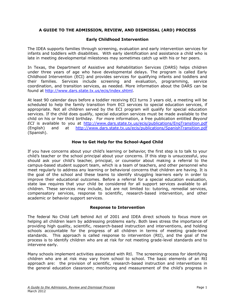# **A GUIDE TO THE ADMISSION, REVIEW, AND DISMISSAL (ARD) PROCESS**

# **Early Childhood Intervention**

<span id="page-5-0"></span>The IDEA supports families through screening, evaluation and early intervention services for infants and toddlers with disabilities. With early identification and assistance a child who is late in meeting developmental milestones may sometimes catch up with his or her peers.

In Texas, the Department of Assistive and Rehabilitation Services (DARS) helps children under three years of age who have developmental delays. The program is called Early Childhood Intervention (ECI) and provides services for qualifying infants and toddlers and their families. Services include screening and evaluation, programming, service coordination, and transition services, as needed. More information about the DARS can be found at [http://www.dars.state.tx.us/ecis/index.shtml.](http://www.dars.state.tx.us/ecis/index.shtml)

At least 90 calendar days before a toddler receiving ECI turns 3 years old, a meeting will be scheduled to help the family transition from ECI services to special education services, if appropriate. Not all children served by the ECI program will qualify for special education services. If the child does qualify, special education services must be made available to the child on his or her third birthday. For more information, a free publication entitled *Beyond ECI* is available to you at <http://www.dars.state.tx.us/ecis/publications/EngTransition.pdf> (English) and at <http://www.dars.state.tx.us/ecis/publications/SpanishTransition.pdf> (Spanish).

### **How to Get Help for the School-Aged Child**

<span id="page-5-1"></span>If you have concerns about your child's learning or behavior, the first step is to talk to your child's teacher or the school principal about your concerns. If this step is unsuccessful, you should ask your child's teacher, principal, or counselor about making a referral to the campus-based student support team, which is a team of teachers, and other personnel who meet regularly to address any learning or behavioral concerns that children are having. It is the goal of the school and these teams to identify struggling learners early in order to improve their educational outcomes. Before a referral for a special education evaluation, state law requires that your child be considered for all support services available to all children. These services may include, but are not limited to: tutoring, remedial services, compensatory services, response to scientific, research-based intervention, and other academic or behavior support services.

#### **Response to Intervention**

<span id="page-5-2"></span>The federal No Child Left behind Act of 2001 and IDEA direct schools to focus more on helping all children learn by addressing problems early. Both laws stress the importance of providing high quality, scientific, research-based instruction and interventions, and holding schools accountable for the progress of all children in terms of meeting grade-level standards. This approach is called response to intervention (RtI), and the goal of the process is to identify children who are at risk for not meeting grade-level standards and to intervene early.

Many schools implement activities associated with RtI. The screening process for identifying children who are at risk may vary from school to school. The basic elements of an RtI approach are: the provision of scientific, research-based instruction and interventions in the general education classroom; monitoring and measurement of the child's progress in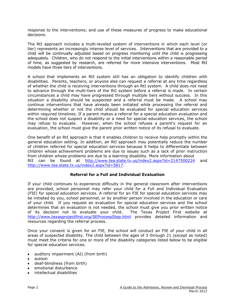response to the interventions; and use of these measures of progress to make educational decisions.

The RtI approach includes a multi-leveled system of interventions in which each level (or tier) represents an increasingly intense level of services. Interventions that are provided to a child will be continually adjusted based on progress monitoring until the child is progressing adequately. Children, who do not respond to the initial interventions within a reasonable period of time, as suggested by research, are referred for more intensive interventions. Most RtI models have three tiers of interventions.

A school that implements an RtI system still has an obligation to identify children with disabilities. Parents, teachers, or anyone else can request a referral at any time regardless of whether the child is receiving interventions through an RtI system. A child does not need to advance through the multi-tiers of the RtI system before a referral is made. In certain circumstances a child may have progressed through multiple tiers without success. In this situation a disability should be suspected and a referral must be made. A school may continue interventions that have already been initiated while processing the referral and determining whether or not the child should be evaluated for special education services within required timelines. If a parent makes a referral for a special education evaluation and the school does not suspect a disability or a need for special education services, the school may refuse to evaluate. However, when the school refuses a parent's request for an evaluation, the school must give the parent prior written notice of its refusal to evaluate.

One benefit of an RtI approach is that it enables children to receive help promptly within the general education setting. In addition, an RtI approach may potentially reduce the number of children referred for special education services because it helps to differentiate between children whose achievement problems are due to issues such as a lack of prior instruction from children whose problems are due to a learning disability. More information about RtI can be found at <http://www.tea.state.tx.us/index2.aspx?id=2147500224> and [http://www.tea.state.tx.us/index2.aspx?id=5817.](http://www.tea.state.tx.us/index2.aspx?id=5817)

# **Referral for a Full and Individual Evaluation**

<span id="page-6-0"></span>If your child continues to experience difficulty in the general classroom after interventions are provided, school personnel may refer your child for a Full and Individual Evaluation (FIE) for special education services. A referral for an FIE for special education services may be initiated by you, school personnel, or by another person involved in the education or care of your child. If you request an evaluation for special education services and the school determines that an evaluation is not needed, the school must give you prior written notice of its decision not to evaluate your child. The Texas Project First website at <http://www.texasprojectfirst.org/SEProcessStep.html> provides detailed information and resources regarding the referral process.

Once your consent is given for an FIE, the school will conduct an FIE of your child in all areas of suspected disability. The child between the ages of 3 through 21 (except as noted) must meet the criteria for one or more of the disability categories listed below to be eligible for special education services.

- auditory impairment (AI) (from birth)
- autism
- deaf-blindness (from birth)
- emotional disturbance
- intellectual disabilities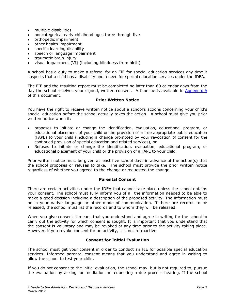- <span id="page-7-3"></span>multiple disabilities
- noncategorical early childhood ages three through five
- orthopedic impairment
- other health impairment
- specific learning disability
- speech or language impairment
- traumatic brain injury
- visual impairment (VI) (including blindness from birth)

A school has a duty to make a referral for an FIE for special education services any time it suspects that a child has a disability and a need for special education services under the IDEA.

The FIE and the resulting report must be completed no later than 60 calendar days from the day the school receives your signed, written consent. A timeline is available in Appendix  $\overline{A}$ of this document.

#### **Prior Written Notice**

<span id="page-7-0"></span>You have the right to receive written notice about a school's actions concerning your child's special education before the school actually takes the action. A school must give you prior written notice when it:

- proposes to initiate or change the identification, evaluation, educational program, or educational placement of your child or the provision of a free appropriate public education (FAPE) to your child (including a change prompted by your revocation of consent for the continued provision of special education and related services), or
- Refuses to initiate or change the identification, evaluation, educational program, or educational placement of your child or the provision of a FAPE to your child.

Prior written notice must be given at least five school days in advance of the action(s) that the school proposes or refuses to take. The school must provide the prior written notice regardless of whether you agreed to the change or requested the change.

#### **Parental Consent**

<span id="page-7-1"></span>There are certain activities under the IDEA that cannot take place unless the school obtains your consent. The school must fully inform you of all the information needed to be able to make a good decision including a description of the proposed activity. The information must be in your native language or other mode of communication. If there are records to be released, the school must list the records and to whom they will be released.

When you give consent it means that you understand and agree in writing for the school to carry out the activity for which consent is sought. It is important that you understand that the consent is voluntary and may be revoked at any time prior to the activity taking place. However, if you revoke consent for an activity, it is not retroactive.

#### **Consent for Initial Evaluation**

<span id="page-7-2"></span>The school must get your consent in order to conduct an FIE for possible special education services. Informed parental consent means that you understand and agree in writing to allow the school to test your child.

If you do not consent to the initial evaluation, the school may, but is not required to, pursue the evaluation by asking for mediation or requesting a due process hearing. If the school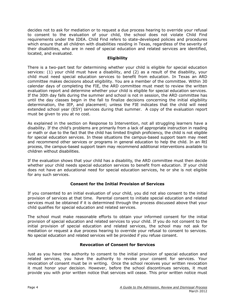decides not to ask for mediation or to request a due process hearing to override your refusal to consent to the evaluation of your child, the school does not violate Child Find requirements under the IDEA. Child Find refers to state-developed policies and procedures which ensure that all children with disabilities residing in Texas, regardless of the severity of their disabilities, who are in need of special education and related services are identified, located, and evaluated.

# **Eligibility**

<span id="page-8-0"></span>There is a two-part test for determining whether your child is eligible for special education services: (1) your child must have a disability, and (2) as a result of the disability, your child must need special education services to benefit from education. In Texas an ARD committee makes decisions about eligibility. You are a member of the committee. Within 30 calendar days of completing the FIE, the ARD committee must meet to review the written evaluation report and determine whether your child is eligible for special education services. If the 30th day falls during the summer and school is not in session, the ARD committee has until the day classes begin in the fall to finalize decisions concerning the initial eligibility determination, the IEP, and placement; unless the FIE indicates that the child will need extended school year (ESY) services during that summer. A copy of the evaluation report must be given to you at no cost.

As explained in the section on Response to Intervention, not all struggling learners have a disability. If the child's problems are primarily from a lack of appropriate instruction in reading or math or due to the fact that the child has limited English proficiency, the child is not eligible for special education services. In these situations the campus-based support team may meet and recommend other services or programs in general education to help the child. In an RtI process, the campus-based support team may recommend additional interventions available to children without disabilities.

If the evaluation shows that your child has a disability, the ARD committee must then decide whether your child needs special education services to benefit from education. If your child does not have an educational need for special education services, he or she is not eligible for any such services.

# **Consent for the Initial Provision of Services**

<span id="page-8-1"></span>If you consented to an initial evaluation of your child, you did not also consent to the initial provision of services at that time. Parental consent to initiate special education and related services must be obtained if it is determined through the process discussed above that your child qualifies for special education and related services.

The school must make reasonable efforts to obtain your informed consent for the initial provision of special education and related services to your child. If you do not consent to the initial provision of special education and related services, the school may not ask for mediation or request a due process hearing to override your refusal to consent to services. No special education and related services will be provided if you refuse consent.

# **Revocation of Consent for Services**

<span id="page-8-2"></span>Just as you have the authority to consent to the initial provision of special education and related services, you have the authority to revoke your consent for services. Your revocation of consent must be in writing. Once the school receives your written revocation it must honor your decision. However, before the school discontinues services, it must provide you with prior written notice that services will cease. This prior written notice must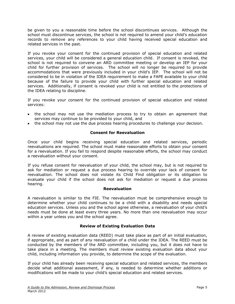be given to you a reasonable time before the school discontinues services. Although the school must discontinue services, the school is not required to amend your child's education records to remove any references to your child having received special education and related services in the past.

If you revoke your consent for the continued provision of special education and related services, your child will be considered a general education child. If consent is revoked, the school is not required to convene an ARD committee meeting or develop an IEP for your child for further provision of services. The school will no longer be required to provide accommodations that were previously included in your child's IEP. The school will not be considered to be in violation of the IDEA requirement to make a FAPE available to your child because of the failure to provide your child with further special education and related services. Additionally, if consent is revoked your child is not entitled to the protections of the IDEA relating to discipline.

If you revoke your consent for the continued provision of special education and related services:

- the school may not use the mediation process to try to obtain an agreement that services may continue to be provided to your child, and
- the school may not use the due process hearing procedures to challenge your decision.

# **Consent for Reevaluation**

<span id="page-9-0"></span>Once your child begins receiving special education and related services, periodic reevaluations are required. The school must make reasonable efforts to obtain your consent for a reevaluation. If you fail to respond despite reasonable efforts, the school may conduct a reevaluation without your consent.

If you refuse consent for reevaluation of your child, the school may, but is not required to ask for mediation or request a due process hearing to override your lack of consent for reevaluation. The school does not violate its Child Find obligation or its obligation to evaluate your child if the school does not ask for mediation or request a due process hearing.

#### **Reevaluation**

<span id="page-9-1"></span>A reevaluation is similar to the FIE. The reevaluation must be comprehensive enough to determine whether your child continues to be a child with a disability and needs special education services. Unless you and the school agree otherwise, a reevaluation of your child's needs must be done at least every three years. No more than one reevaluation may occur within a year unless you and the school agree.

# **Review of Existing Evaluation Data**

<span id="page-9-2"></span>A review of existing evaluation data (REED) must take place as part of an initial evaluation, if appropriate, and as part of any reevaluation of a child under the IDEA. The REED must be conducted by the members of the ARD committee, including you, but it does not have to take place in a meeting. The members must review existing evaluation data about your child, including information you provide, to determine the scope of the evaluation.

If your child has already been receiving special education and related services, the members decide what additional assessment, if any, is needed to determine whether additions or modifications will be made to your child's special education and related services.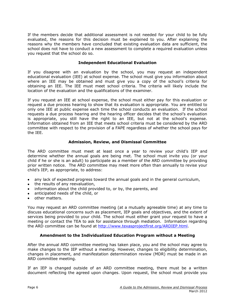If the members decide that additional assessment is not needed for your child to be fully evaluated, the reasons for this decision must be explained to you. After explaining the reasons why the members have concluded that existing evaluation data are sufficient, the school does not have to conduct a new assessment to complete a required evaluation unless you request that the school do so.

#### **Independent Educational Evaluation**

<span id="page-10-0"></span>If you disagree with an evaluation by the school, you may request an independent educational evaluation (IEE) at school expense. The school must give you information about where an IEE may be obtained and must give you a copy of the school's criteria for obtaining an IEE. The IEE must meet school criteria. The criteria will likely include the location of the evaluation and the qualifications of the examiner.

If you request an IEE at school expense, the school must either pay for this evaluation or request a due process hearing to show that its evaluation is appropriate. You are entitled to only one IEE at public expense each time the school conducts an evaluation. If the school requests a due process hearing and the hearing officer decides that the school's evaluation is appropriate, you still have the right to an IEE, but not at the school's expense. Information obtained from an IEE that meets school criteria must be considered by the ARD committee with respect to the provision of a FAPE regardless of whether the school pays for the IEE.

### **Admission, Review, and Dismissal Committee**

<span id="page-10-1"></span>The ARD committee must meet at least once a year to review your child's IEP and determine whether the annual goals are being met. The school must invite you (or your child if he or she is an adult) to participate as a member of the ARD committee by providing prior written notice. The ARD committee may meet more often than annually to revise your child's IEP, as appropriate, to address:

- any lack of expected progress toward the annual goals and in the general curriculum,
- the results of any reevaluation,
- information about the child provided to, or by, the parents, and
- anticipated needs of the child, or
- other matters.

You may request an ARD committee meeting (at a mutually agreeable time) at any time to discuss educational concerns such as placement, IEP goals and objectives, and the extent of services being provided to your child. The school must either grant your request to have a meeting or contact the TEA to ask for assistance through mediation. Information regarding the ARD committee can be found at [http://www.texasprojectfirst.org/ARDIEP.html.](http://www.texasprojectfirst.org/ARDIEP.html)

#### **Amendment to the Individualized Education Program without a Meeting**

<span id="page-10-2"></span>After the annual ARD committee meeting has taken place, you and the school may agree to make changes to the IEP without a meeting. However, changes to eligibility determination, changes in placement, and manifestation determination review (MDR) must be made in an ARD committee meeting.

If an IEP is changed outside of an ARD committee meeting, there must be a written document reflecting the agreed upon changes. Upon request, the school must provide you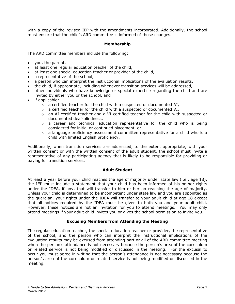with a copy of the revised IEP with the amendments incorporated. Additionally, the school must ensure that the child's ARD committee is informed of those changes.

### **Membership**

<span id="page-11-0"></span>The ARD committee members include the following:

- you, the parent,
- at least one regular education teacher of the child,
- at least one special education teacher or provider of the child,
- a representative of the school,
- a person who can interpret the instructional implications of the evaluation results,
- the child, if appropriate, including whenever transition services will be addressed,
- other individuals who have knowledge or special expertise regarding the child and are invited by either you or the school, and
- if applicable:
	- $\circ$  a certified teacher for the child with a suspected or documented AI,
	- $\circ$  a certified teacher for the child with a suspected or documented VI,
	- o an AI certified teacher and a VI certified teacher for the child with suspected or documented deaf-blindness,
	- o a career and technical education representative for the child who is being considered for initial or continued placement, or
	- $\circ$  a language proficiency assessment committee representative for a child who is a child with limited English proficiency.

Additionally, when transition services are addressed, to the extent appropriate, with your written consent or with the written consent of the adult student, the school must invite a representative of any participating agency that is likely to be responsible for providing or paying for transition services.

#### **Adult Student**

<span id="page-11-1"></span>At least a year before your child reaches the age of majority under state law (i.e., age 18), the IEP must include a statement that your child has been informed of his or her rights under the IDEA, if any, that will transfer to him or her on reaching the age of majority. Unless your child is determined to be incompetent under state law and you are appointed as the guardian, your rights under the IDEA will transfer to your adult child at age 18 except that all notices required by the IDEA must be given to both you and your adult child. However, these notices are not an invitation for you to attend meetings. You may only attend meetings if your adult child invites you or gives the school permission to invite you.

#### **Excusing Members from Attending the Meeting**

<span id="page-11-2"></span>The regular education teacher, the special education teacher or provider, the representative of the school, and the person who can interpret the instructional implications of the evaluation results may be excused from attending part or all of the ARD committee meeting when the person's attendance is not necessary because the person's area of the curriculum or related service is not being modified or discussed in the meeting. For the excusal to occur you must agree in writing that the person's attendance is not necessary because the person's area of the curriculum or related service is not being modified or discussed in the meeting.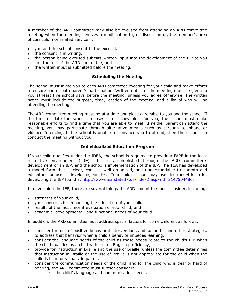A member of the ARD committee may also be excused from attending an ARD committee meeting when the meeting involves a modification to, or discussion of, the member's area of curriculum or related service if:

- you and the school consent to the excusal,
- $\bullet$  the consent is in writing,
- the person being excused submits written input into the development of the IEP to you and the rest of the ARD committee, and
- <span id="page-12-0"></span>• the written input is submitted before the meeting.

#### **Scheduling the Meeting**

The school must invite you to each ARD committee meeting for your child and make efforts to ensure one or both parent's participation. Written notice of the meeting must be given to you at least five school days before the meeting, unless you agree otherwise. The written notice must include the purpose, time, location of the meeting, and a list of who will be attending the meeting.

The ARD committee meeting must be at a time and place agreeable to you and the school. If the time or date the school proposes is not convenient for you, the school must make reasonable efforts to find a time that you are able to meet. If neither parent can attend the meeting, you may participate through alternative means such as through telephone or videoconferencing. If the school is unable to convince you to attend, then the school can conduct the meeting without you.

### **Individualized Education Program**

<span id="page-12-1"></span>If your child qualifies under the IDEA, the school is required to provide a FAPE in the least restrictive environment (LRE). This is accomplished through the ARD committee's development of an IEP, and the school's implementation of the IEP. The TEA has developed a model form that is clear, concise, well organized, and understandable to parents and educators for use in developing an IEP. Your child's school may use this model form for developing the IEP found at [http://www.tea.state.tx.us/index2.aspx?id=2147504486.](http://www.tea.state.tx.us/index2.aspx?id=2147504486)

In developing the IEP, there are several things the ARD committee must consider, including:

- strengths of your child,
- your concerns for enhancing the education of your child,
- results of the most recent evaluation of your child, and
- academic, developmental, and functional needs of your child.

In addition, the ARD committee must address special factors for some children, as follows:

- consider the use of positive behavioral interventions and supports, and other strategies, to address that behavior when a child's behavior impedes learning,
- consider the language needs of the child as those needs relate to the child's IEP when the child qualifies as a child with limited English proficiency,
- provide for instruction in Braille and the use of Braille, unless the committee determines that instruction in Braille or the use of Braille is not appropriate for the child when the child is blind or visually impaired,
- consider the communication needs of the child, and for the child who is deaf or hard of hearing, the ARD committee must further consider:
	- o the child's language and communication needs,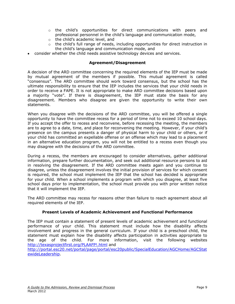- $\circ$  the child's opportunities for direct communications with peers and professional personnel in the child's language and communication mode,
- o the child's academic level, and
- $\circ$  the child's full range of needs, including opportunities for direct instruction in the child's language and communication mode, and
- consider whether the child needs assistive technology devices and services.

#### **Agreement/Disagreement**

<span id="page-13-0"></span>A decision of the ARD committee concerning the required elements of the IEP must be made by mutual agreement of the members if possible. This mutual agreement is called "consensus". The ARD committee should work toward consensus, but the school has the ultimate responsibility to ensure that the IEP includes the services that your child needs in order to receive a FAPE. It is not appropriate to make ARD committee decisions based upon a majority "vote". If there is disagreement, the IEP must state the basis for any disagreement. Members who disagree are given the opportunity to write their own statements.

When you disagree with the decisions of the ARD committee, you will be offered a single opportunity to have the committee recess for a period of time not to exceed 10 school days. If you accept the offer to recess and reconvene, before recessing the meeting, the members are to agree to a date, time, and place for reconvening the meeting. However, if your child's presence on the campus presents a danger of physical harm to your child or others, or if your child has committed an expellable offense or an offense which may lead to a placement in an alternative education program, you will not be entitled to a recess even though you may disagree with the decisions of the ARD committee.

During a recess, the members are encouraged to consider alternatives, gather additional information, prepare further documentation, and seek out additional resource persons to aid in resolving the disagreement. If the ARD committee meets again and you continue to disagree, unless the disagreement involves the initial provision of services for which consent is required, the school must implement the IEP that the school has decided is appropriate for your child. When a school implements a program with which you disagree, at least five school days prior to implementation, the school must provide you with prior written notice that it will implement the IEP.

The ARD committee may recess for reasons other than failure to reach agreement about all required elements of the IEP.

# **Present Levels of Academic Achievement and Functional Performance**

<span id="page-13-1"></span>The IEP must contain a statement of present levels of academic achievement and functional performance of your child. This statement must include how the disability affects involvement and progress in the general curriculum. If your child is a preschool child, the statement must explain how the disability affects participation in activities appropriate to the age of the child. For more information, visit the following websites <http://texasprojectfirst.org/PLAAFP!.html> and

[http://portal.esc20.net/portal/page/portal/esc20public/SpecialEducation/AGCHome/AGCStat](http://portal.esc20.net/portal/page/portal/esc20public/SpecialEducation/AGCHome/AGCStatewideLeadership) [ewideLeadership.](http://portal.esc20.net/portal/page/portal/esc20public/SpecialEducation/AGCHome/AGCStatewideLeadership)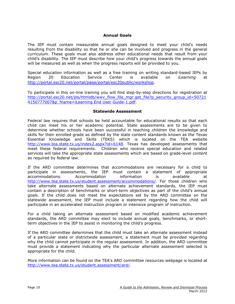### **Annual Goals**

<span id="page-14-0"></span>The IEP must contain measurable annual goals designed to meet your child's needs resulting from the disability so that he or she can be involved and progress in the general curriculum. These goals must also address other educational needs that result from your child's disability. The IEP must describe how your child's progress towards the annual goals will be measured as well as when the progress reports will be provided to you.

Special education information as well as a free training on writing standard-based IEPs by Region 20 Education Service Center is available on *iLearning* at <http://portal.esc20.net/portal/page/portal/esc20public/workshop>.

To participate in this on-line training you will find step-by-step directions for registration at [http://portal.esc20.net/pls/htmldb/wwv\\_flow\\_file\\_mgr.get\\_file?p\\_security\\_group\\_id=50721](http://portal.esc20.net/pls/htmldb/wwv_flow_file_mgr.get_file?p_security_group_id=507214150777007&p_fname=iLearning%20End%20User%20Guide-1.pdf) [4150777007&p\\_fname=iLearning End User Guide-1.pdf.](http://portal.esc20.net/pls/htmldb/wwv_flow_file_mgr.get_file?p_security_group_id=507214150777007&p_fname=iLearning%20End%20User%20Guide-1.pdf)

#### **Statewide Assessment**

<span id="page-14-1"></span>Federal law requires that schools be held accountable for educational results so that each child can meet his or her academic potential. State assessments are to be given to determine whether schools have been successful in teaching children the knowledge and skills for their enrolled grade as defined by the state content standards known as the Texas Essential Knowledge and Skills (TEKS) which is located on the TEA website [http://www.tea.state.tx.us/index2.aspx?id=6148.](http://www.tea.state.tx.us/index2.aspx?id=6148) Texas has developed assessments that meet these federal requirements. Children who receive special education and related services will take the appropriate state assessments which are based on grade-level content as required by federal law.

If the ARD committee determines that accommodations are necessary for a child to participate in assessments, the IEP must contain a statement of appropriate accommodations. Accommodation information is available at [http://www.tea.state.tx.us/student.assessment/accommodations/.](http://www.tea.state.tx.us/student.assessment/accommodations/) For those children who take alternate assessments based on alternate achievement standards, the IEP must contain a description of benchmarks or short-term objectives as part of the child's annual goals. If the child does not meet the expectations set by the ARD committee on the statewide assessment, the IEP must include a statement regarding how the child will participate in an accelerated instruction program or intensive program of instruction.

For a child taking an alternate assessment based on modified academic achievement standards, the ARD committee may elect to include annual goals, benchmarks, or shortterm objectives in the IEP to assist in monitoring the child's progress.

If the ARD committee determines that the child must take an alternate assessment instead of a particular state or districtwide assessment, a statement must be provided regarding why the child cannot participate in the regular assessment. In addition, the ARD committee must provide a statement indicating why the particular alternate assessment selected is appropriate for the child.

More information can be found on the TEA's ARD committee resources webpage is located at [http://www.tea.state.tx.us/student.assessment/ard/.](http://www.tea.state.tx.us/student.assessment/ard/)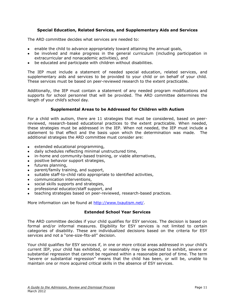# **Special Education, Related Services, and Supplementary Aids and Services**

<span id="page-15-0"></span>The ARD committee decides what services are needed to:

- enable the child to advance appropriately toward attaining the annual goals,
- be involved and make progress in the general curriculum (including participation in extracurricular and nonacademic activities), and
- be educated and participate with children without disabilities.

The IEP must include a statement of needed special education, related services, and supplementary aids and services to be provided to your child or on behalf of your child. These services must be based on peer-reviewed research to the extent practicable.

Additionally, the IEP must contain a statement of any needed program modifications and supports for school personnel that will be provided. The ARD committee determines the length of your child's school day.

#### **Supplemental Areas to be Addressed for Children with Autism**

<span id="page-15-1"></span>For a child with autism, there are 11 strategies that must be considered, based on peerreviewed, research-based educational practices to the extent practicable. When needed, these strategies must be addressed in the IEP. When not needed, the IEP must include a statement to that effect and the basis upon which the determination was made. The additional strategies the ARD committee must consider are:

- extended educational programming,
- daily schedules reflecting minimal unstructured time,
- in-home and community-based training, or viable alternatives,
- positive behavior support strategies,
- futures planning,
- parent/family training, and support,
- suitable staff-to-child ratio appropriate to identified activities,
- communication interventions,
- social skills supports and strategies,
- professional educator/staff support, and
- teaching strategies based on peer-reviewed, research-based practices.

<span id="page-15-2"></span>More information can be found at [http://www.txautism.net/.](http://www.txautism.net/)

#### **Extended School Year Services**

The ARD committee decides if your child qualifies for ESY services. The decision is based on formal and/or informal measures. Eligibility for ESY services is not limited to certain categories of disability. These are individualized decisions based on the criteria for ESY services and not a "one-size-fits-all" decision.

Your child qualifies for ESY services if, in one or more critical areas addressed in your child's current IEP, your child has exhibited, or reasonably may be expected to exhibit, severe or substantial regression that cannot be regained within a reasonable period of time. The term "severe or substantial regression" means that the child has been, or will be, unable to maintain one or more acquired critical skills in the absence of ESY services.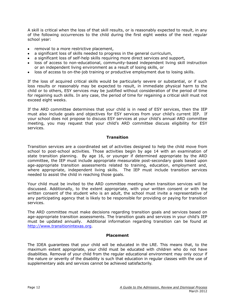A skill is critical when the loss of that skill results, or is reasonably expected to result, in any of the following occurrences to the child during the first eight weeks of the next regular school year:

- removal to a more restrictive placement,
- a significant loss of skills needed to progress in the general curriculum,
- a significant loss of self-help skills requiring more direct services and support,
- loss of access to non-educational, community-based independent living skill instruction or an independent living environment as a result of losing skills, or
- loss of access to on-the-job training or productive employment due to losing skills.

If the loss of acquired critical skills would be particularly severe or substantial, or if such loss results or reasonably may be expected to result, in immediate physical harm to the child or to others, ESY services may be justified without consideration of the period of time for regaining such skills. In any case, the period of time for regaining a critical skill must not exceed eight weeks.

If the ARD committee determines that your child is in need of ESY services, then the IEP must also include goals and objectives for ESY services from your child's current IEP. If your school does not propose to discuss ESY services at your child's annual ARD committee meeting, you may request that your child's ARD committee discuss eligibility for ESY services.

#### **Transition**

<span id="page-16-0"></span>Transition services are a coordinated set of activities designed to help the child move from school to post-school activities. Those activities begin by age 14 with an examination of state transition planning. By age 16, or younger if determined appropriate by the ARD committee, the IEP must include appropriate measurable post-secondary goals based upon age-appropriate transition assessments related to training, education, employment and, where appropriate, independent living skills. The IEP must include transition services needed to assist the child in reaching those goals.

Your child must be invited to the ARD committee meeting when transition services will be discussed. Additionally, to the extent appropriate, with your written consent or with the written consent of the student who is an adult, the school must invite a representative of any participating agency that is likely to be responsible for providing or paying for transition services.

The ARD committee must make decisions regarding transition goals and services based on age-appropriate transition assessments. The transition goals and services in your child's IEP must be updated annually. Additional information regarding transition can be found at [http://www.transitionintexas.org.](http://www.transitionintexas.org/)

#### **Placement**

<span id="page-16-1"></span>The IDEA guarantees that your child will be educated in the LRE. This means that, to the maximum extent appropriate, your child must be educated with children who do not have disabilities. Removal of your child from the regular educational environment may only occur if the nature or severity of the disability is such that education in regular classes with the use of supplementary aids and services cannot be achieved satisfactorily.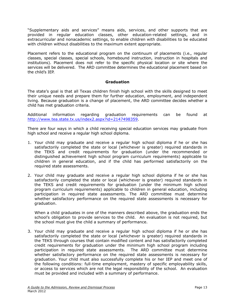"Supplementary aids and services" means aids, services, and other supports that are provided in regular education classes, other education-related settings, and in extracurricular and nonacademic settings, to enable children with disabilities to be educated with children without disabilities to the maximum extent appropriate.

Placement refers to the educational program on the continuum of placements (i.e., regular classes, special classes, special schools, homebound instruction, instruction in hospitals and institutions). Placement does not refer to the specific physical location or site where the services will be delivered. The ARD committee determines the educational placement based on the child's IEP.

#### **Graduation**

<span id="page-17-0"></span>The state's goal is that all Texas children finish high school with the skills designed to meet their unique needs and prepare them for further education, employment, and independent living. Because graduation is a change of placement, the ARD committee decides whether a child has met graduation criteria.

Additional information regarding graduation requirements can be found at [http://www.tea.state.tx.us/index2.aspx?id=2147498359.](http://www.tea.state.tx.us/index2.aspx?id=2147498359)

There are four ways in which a child receiving special education services may graduate from high school and receive a regular high school diploma.

- 1. Your child may graduate and receive a regular high school diploma if he or she has satisfactorily completed the state or local (whichever is greater) required standards in the TEKS and credit requirements for graduation (under the recommended or distinguished achievement high school program curriculum requirements) applicable to children in general education, and if the child has performed satisfactorily on the required state assessments.
- 2. Your child may graduate and receive a regular high school diploma if he or she has satisfactorily completed the state or local (whichever is greater) required standards in the TEKS and credit requirements for graduation (under the minimum high school program curriculum requirements) applicable to children in general education, including participation in required state assessments. The ARD committee must determine whether satisfactory performance on the required state assessments is necessary for graduation.

When a child graduates in one of the manners described above, the graduation ends the school's obligation to provide services to the child. An evaluation is not required, but the school must give the child a summary of performance.

3. Your child may graduate and receive a regular high school diploma if he or she has satisfactorily completed the state or local (whichever is greater) required standards in the TEKS through courses that contain modified content and has satisfactorily completed credit requirements for graduation under the minimum high school program including participation in required state assessments. The ARD committee must determine whether satisfactory performance on the required state assessments is necessary for graduation. Your child must also successfully complete his or her IEP and meet one of the following conditions: full-time employment, mastery of specific employability skills, or access to services which are not the legal responsibility of the school. An evaluation must be provided and included with a summary of performance.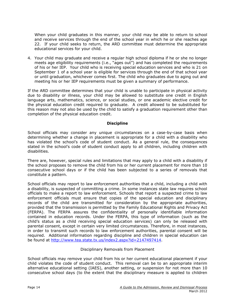When your child graduates in this manner, your child may be able to return to school and receive services through the end of the school year in which he or she reaches age 22. If your child seeks to return, the ARD committee must determine the appropriate educational services for your child.

4. Your child may graduate and receive a regular high school diploma if he or she no longer meets age eligibility requirements (i.e., "ages out") and has completed the requirements of his or her IEP. Your child who is receiving special education services and who is 21 on September 1 of a school year is eligible for services through the end of that school year or until graduation, whichever comes first. The child who graduates due to aging out and meeting his or her IEP requirements must be given a summary of performance.

If the ARD committee determines that your child is unable to participate in physical activity due to disability or illness, your child may be allowed to substitute one credit in English language arts, mathematics, science, or social studies, or one academic elective credit for the physical education credit required to graduate. A credit allowed to be substituted for this reason may not also be used by the child to satisfy a graduation requirement other than completion of the physical education credit.

### **Discipline**

<span id="page-18-0"></span>School officials may consider any unique circumstances on a case-by-case basis when determining whether a change in placement is appropriate for a child with a disability who has violated the school's code of student conduct. As a general rule, the consequences stated in the school's code of student conduct apply to all children, including children with disabilities.

There are, however, special rules and limitations that may apply to a child with a disability if the school proposes to remove the child from his or her current placement for more than 10 consecutive school days or if the child has been subjected to a series of removals that constitute a pattern.

School officials may report to law enforcement authorities that a child, including a child with a disability, is suspected of committing a crime. In some instances state law requires school officials to make a report to law enforcement. Schools that report a suspected crime to law enforcement officials must ensure that copies of the special education and disciplinary records of the child are transmitted for consideration by the appropriate authorities, provided that the transmission is permitted by the Family Educational Rights and Privacy Act (FERPA). The FERPA assures the confidentiality of personally identifiable information contained in education records. Under the FERPA, this type of information (such as the child's status as a child receiving special education services) can only be released with parental consent, except in certain very limited circumstances. Therefore, in most instances, in order to transmit such records to law enforcement authorities, parental consent will be required. Additional information regarding discipline and children in special education can be found at [http://www.tea.state.tx.us/index2.aspx?id=2147497414.](http://www.tea.state.tx.us/index2.aspx?id=2147497414)

#### Disciplinary Removals from Placement

<span id="page-18-1"></span>School officials may remove your child from his or her current educational placement if your child violates the code of student conduct. This removal can be to an appropriate interim alternative educational setting (IAES), another setting, or suspension for not more than 10 consecutive school days (to the extent that the disciplinary measure is applied to children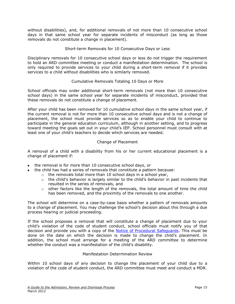without disabilities), and, for additional removals of not more than 10 consecutive school days in that same school year for separate incidents of misconduct (as long as those removals do not constitute a change in placement).

# Short-term Removals for 10 Consecutive Days or Less

<span id="page-19-0"></span>Disciplinary removals for 10 consecutive school days or less do not trigger the requirement to hold an ARD committee meeting or conduct a manifestation determination. The school is only required to provide services to your child during a short-term removal if it provides services to a child without disabilities who is similarly removed.

### Cumulative Removals Totaling 10 Days or More

<span id="page-19-1"></span>School officials may order additional short-term removals (not more than 10 consecutive school days) in the same school year for separate incidents of misconduct, provided that these removals do not constitute a change of placement.

After your child has been removed for 10 cumulative school days in the same school year, if the current removal is not for more than 10 consecutive school days and is not a change of placement, the school must provide services so as to enable your child to continue to participate in the general education curriculum, although in another setting, and to progress toward meeting the goals set out in your child's IEP. School personnel must consult with at least one of your child's teachers to decide which services are needed.

### Change of Placement

<span id="page-19-2"></span>A removal of a child with a disability from his or her current educational placement is a change of placement if:

- the removal is for more than 10 consecutive school days, or
- the child has had a series of removals that constitute a pattern because:
	- $\circ$  the removals total more than 10 school days in a school year,
		- $\circ$  the child's behavior is largely similar to the child's behavior in past incidents that resulted in the series of removals, and
		- $\circ$  other factors like the length of the removals, the total amount of time the child has been removed, and the proximity of the removals to one another.

The school will determine on a case-by-case basis whether a pattern of removals amounts to a change of placement. You may challenge the school's decision about this through a due process hearing or judicial proceeding.

If the school proposes a removal that will constitute a change of placement due to your child's violation of the code of student conduct, school officials must notify you of that decision and provide you with a copy of the [Notice of Procedural Safeguards.](http://framework.esc18.net/) This must be done on the date on which the decision is made to change the child's placement. In addition, the school must arrange for a meeting of the ARD committee to determine whether the conduct was a manifestation of the child's disability.

#### Manifestation Determination Review

<span id="page-19-3"></span>Within 10 school days of any decision to change the placement of your child due to a violation of the code of student conduct, the ARD committee must meet and conduct a MDR.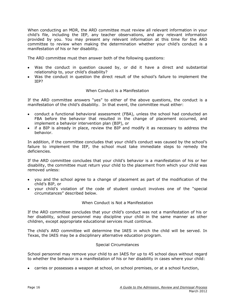When conducting an MDR, the ARD committee must review all relevant information in your child's file, including the IEP, any teacher observations, and any relevant information provided by you. You may present any relevant information at this time for the ARD committee to review when making the determination whether your child's conduct is a manifestation of his or her disability.

The ARD committee must then answer both of the following questions:

- Was the conduct in question caused by, or did it have a direct and substantial relationship to, your child's disability?
- Was the conduct in question the direct result of the school's failure to implement the IEP?

### When Conduct is a Manifestation

<span id="page-20-0"></span>If the ARD committee answers "yes" to either of the above questions, the conduct is a manifestation of the child's disability. In that event, the committee must either:

- conduct a functional behavioral assessment (FBA), unless the school had conducted an FBA before the behavior that resulted in the change of placement occurred, and implement a behavior intervention plan (BIP), or
- if a BIP is already in place, review the BIP and modify it as necessary to address the behavior.

In addition, if the committee concludes that your child's conduct was caused by the school's failure to implement the IEP, the school must take immediate steps to remedy the deficiencies.

If the ARD committee concludes that your child's behavior is a manifestation of his or her disability, the committee must return your child to the placement from which your child was removed unless:

- you and the school agree to a change of placement as part of the modification of the child's BIP, or
- your child's violation of the code of student conduct involves one of the "special circumstances" described below.

#### When Conduct is Not a Manifestation

<span id="page-20-1"></span>If the ARD committee concludes that your child's conduct was not a manifestation of his or her disability, school personnel may discipline your child in the same manner as other children, except appropriate educational services must continue.

The child's ARD committee will determine the IAES in which the child will be served. In Texas, the IAES may be a disciplinary alternative education program.

#### Special Circumstances

<span id="page-20-2"></span>School personnel may remove your child to an IAES for up to 45 school days without regard to whether the behavior is a manifestation of his or her disability in cases where your child:

carries or possesses a weapon at school, on school premises, or at a school function,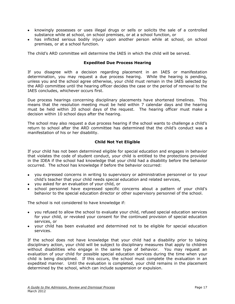- knowingly possesses or uses illegal drugs or sells or solicits the sale of a controlled substance while at school, on school premises, or at a school function, or
- has inflicted serious bodily injury upon another person while at school, on school premises, or at a school function.

The child's ARD committee will determine the IAES in which the child will be served.

#### **Expedited Due Process Hearing**

<span id="page-21-0"></span>If you disagree with a decision regarding placement in an IAES or manifestation determination, you may request a due process hearing. While the hearing is pending, unless you and the school agree otherwise, your child must remain in the IAES selected by the ARD committee until the hearing officer decides the case or the period of removal to the IAES concludes, whichever occurs first.

Due process hearings concerning disciplinary placements have shortened timelines. This means that the resolution meeting must be held within 7 calendar days and the hearing must be held within 20 school days of the request. The hearing officer must make a decision within 10 school days after the hearing.

The school may also request a due process hearing if the school wants to challenge a child's return to school after the ARD committee has determined that the child's conduct was a manifestation of his or her disability.

### **Child Not Yet Eligible**

<span id="page-21-1"></span>If your child has not been determined eligible for special education and engages in behavior that violates the code of student conduct, your child is entitled to the protections provided in the IDEA if the school had knowledge that your child had a disability before the behavior occurred. The school has knowledge if before the behavior occurred:

- you expressed concerns in writing to supervisory or administrative personnel or to your child's teacher that your child needs special education and related services,
- you asked for an evaluation of your child, or
- school personnel have expressed specific concerns about a pattern of your child's behavior to the special education director or other supervisory personnel of the school.

The school is not considered to have knowledge if:

- you refused to allow the school to evaluate your child, refused special education services for your child, or revoked your consent for the continued provision of special education services, or
- your child has been evaluated and determined not to be eligible for special education services.

If the school does not have knowledge that your child had a disability prior to taking disciplinary action, your child will be subject to disciplinary measures that apply to children without disabilities who engage in the same type of behavior. You may request an evaluation of your child for possible special education services during the time when your child is being disciplined. If this occurs, the school must complete the evaluation in an expedited manner. Until the evaluation is completed, your child remains in the placement determined by the school, which can include suspension or expulsion.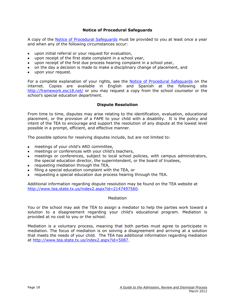#### **Notice of Procedural Safeguards**

<span id="page-22-0"></span>A copy of the Notice of Procedural Safequards must be provided to you at least once a year and when any of the following circumstances occur:

- upon initial referral or your request for evaluation,
- upon receipt of the first state complaint in a school year,
- upon receipt of the first due process hearing complaint in a school year,
- on the day a decision is made to make a disciplinary change of placement, and
- upon your request.

For a complete explanation of your rights, see the [Notice of Procedural Safeguards](http://framework.esc18.net/) on the internet. Copies are available in English and Spanish at the following site <http://framework.esc18.net/> or you may request a copy from the school counselor or the school's special education department.

#### **Dispute Resolution**

<span id="page-22-1"></span>From time to time, disputes may arise relating to the identification, evaluation, educational placement, or the provision of a FAPE to your child with a disability. It is the policy and intent of the TEA to encourage and support the resolution of any dispute at the lowest level possible in a prompt, efficient, and effective manner.

The possible options for resolving disputes include, but are not limited to:

- meetings of your child's ARD committee,
- meetings or conferences with your child's teachers,
- meetings or conferences, subject to local school policies, with campus administrators, the special education director, the superintendent, or the board of trustees,
- requesting mediation through the TEA,
- filing a special education complaint with the TEA, or
- requesting a special education due process hearing through the TEA.

Additional information regarding dispute resolution may be found on the TEA website at [http://www.tea.state.tx.us/index2.aspx?id=2147497560.](http://www.tea.state.tx.us/index2.aspx?id=2147497560)

#### Mediation

<span id="page-22-2"></span>You or the school may ask the TEA to assign a mediator to help the parties work toward a solution to a disagreement regarding your child's educational program. Mediation is provided at no cost to you or the school.

Mediation is a voluntary process, meaning that both parties must agree to participate in mediation. The focus of mediation is on solving a disagreement and arriving at a solution that meets the needs of your child. The TEA has additional information regarding mediation at [http://www.tea.state.tx.us/index2.aspx?id=5087.](http://www.tea.state.tx.us/index2.aspx?id=5087)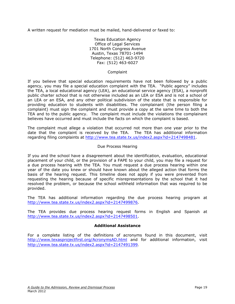A written request for mediation must be mailed, hand-delivered or faxed to:

Texas Education Agency Office of Legal Services 1701 North Congress Avenue Austin, Texas 78701-1494 Telephone: (512) 463-9720 Fax: (512) 463-6027

#### Complaint

<span id="page-23-0"></span>If you believe that special education requirements have not been followed by a public agency, you may file a special education complaint with the TEA. "Public agency" includes the TEA, a local educational agency (LEA), an educational service agency (ESA), a nonprofit public charter school that is not otherwise included as an LEA or ESA and is not a school of an LEA or an ESA, and any other political subdivision of the state that is responsible for providing education to students with disabilities. The complainant (the person filing a complaint) must sign the complaint and must provide a copy at the same time to both the TEA and to the public agency. The complaint must include the violations the complainant believes have occurred and must include the facts on which the complaint is based.

The complaint must allege a violation that occurred not more than one year prior to the date that the complaint is received by the TEA. The TEA has additional information regarding filing complaints at [http://www.tea.state.tx.us/index2.aspx?id=2147498481.](http://www.tea.state.tx.us/index2.aspx?id=2147498481)

### Due Process Hearing

<span id="page-23-1"></span>If you and the school have a disagreement about the identification, evaluation, educational placement of your child, or the provision of a FAPE to your child, you may file a request for a due process hearing with the TEA. You must request a due process hearing within one year of the date you knew or should have known about the alleged action that forms the basis of the hearing request. This timeline does not apply if you were prevented from requesting the hearing because of specific misrepresentations by the school that it had resolved the problem, or because the school withheld information that was required to be provided.

The TEA has additional information regarding the due process hearing program at [http://www.tea.state.tx.us/index2.aspx?id=2147499876.](http://www.tea.state.tx.us/index2.aspx?id=2147499876)

The TEA provides due process hearing request forms in English and Spanish at [http://www.tea.state.tx.us/index2.aspx?id=2147498501.](http://www.tea.state.tx.us/index2.aspx?id=2147498501)

# **Additional Assistance**

<span id="page-23-2"></span>For a complete listing of the definitions of acronyms found in this document, visit <http://www.texasprojectfirst.org/AcronymsAD.html> and for additional information, visit <http://www.tea.state.tx.us/index2.aspx?id=2147491399>.